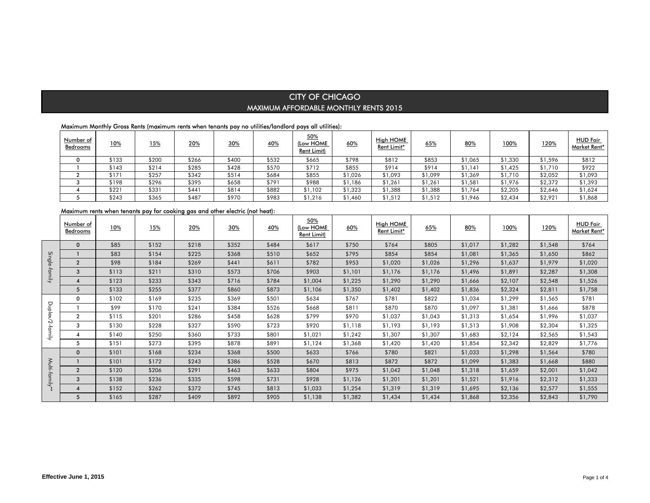### Maximum Monthly Gross Rents (maximum rents when tenants pay no utilities/landlord pays all utilities):

| <u>Number of</u><br>Bedrooms | <b>10%</b> | <u>15%</u> | 20%   | 30%   | 40%   | 50%<br>(Low HOME<br><b>Rent Limit)</b> | 60%     | High HOME<br>Rent Limit* | 65%     | 80%     | 100%    | 120%    | <b>HUD Fair</b><br>Market Rent* |
|------------------------------|------------|------------|-------|-------|-------|----------------------------------------|---------|--------------------------|---------|---------|---------|---------|---------------------------------|
|                              | \$133      | \$200      | \$266 | \$400 | \$532 | \$665                                  | \$798   | \$812                    | \$853   | \$1,065 | 51,330  | \$1,596 | \$812                           |
|                              | \$143      | \$214      | \$285 | \$428 | \$570 | \$712                                  | \$855   | \$914                    | \$914   | \$1,141 | \$1,425 | \$1,710 | \$922                           |
|                              | \$17       | \$257      | \$342 | \$514 | \$684 | \$855                                  | \$1,026 | \$1,093                  | \$1,099 | \$1,369 | \$1,710 | \$2,052 | \$1,093                         |
|                              | \$198      | \$296      | \$395 | \$658 | \$791 | \$988                                  | \$1,186 | \$1,261                  | \$1,261 | \$1,581 | \$1.976 | \$2,372 | \$1,393                         |
|                              | \$221      | \$331      | \$441 | \$814 | \$882 | \$1,102                                | \$1,323 | \$1,388                  | \$1,388 | \$1,764 | \$2,205 | \$2,646 | \$1,624                         |
|                              | \$243      | \$365      | \$487 | \$970 | \$983 | \$1,216                                | \$1.460 | \$1,512                  | \$1,512 | \$1,946 | \$2,434 | \$2.921 | \$1,868                         |

## Maximum rents when tenants pay for cooking gas and other electric (not heat):

|               | Number of<br>Bedrooms | 10%   | 15%   | 20%   | 30%   | 40%   | 50%<br><u>(Low HOME</u><br>Rent Limit) | 60%     | High HOME<br>Rent Limit* | 65%     | 80%     | 100%    | 120%    | <b>HUD Fair</b><br>Market Rent* |
|---------------|-----------------------|-------|-------|-------|-------|-------|----------------------------------------|---------|--------------------------|---------|---------|---------|---------|---------------------------------|
|               | $\mathbf 0$           | \$85  | \$152 | \$218 | \$352 | \$484 | \$617                                  | \$750   | \$764                    | \$805   | \$1,017 | \$1,282 | \$1,548 | \$764                           |
|               |                       | \$83  | \$154 | \$225 | \$368 | \$510 | \$652                                  | \$795   | \$854                    | \$854   | \$1,081 | \$1,365 | \$1,650 | \$862                           |
| Single        | $\overline{2}$        | \$98  | \$184 | \$269 | \$441 | \$611 | \$782                                  | \$953   | \$1,020                  | \$1,026 | \$1,296 | \$1,637 | \$1,979 | \$1,020                         |
| -family       | 3                     | \$113 | \$211 | \$310 | \$573 | \$706 | \$903                                  | \$1,101 | \$1,176                  | \$1,176 | \$1,496 | \$1,891 | \$2,287 | \$1,308                         |
|               | $\overline{4}$        | \$123 | \$233 | \$343 | \$716 | \$784 | \$1,004                                | \$1,225 | \$1,290                  | \$1,290 | \$1,666 | \$2,107 | \$2,548 | \$1,526                         |
|               | 5                     | \$133 | \$255 | \$377 | \$860 | \$873 | \$1,106                                | \$1,350 | \$1,402                  | \$1,402 | \$1,836 | \$2,324 | \$2,811 | \$1,758                         |
|               | 0                     | \$102 | \$169 | \$235 | \$369 | \$501 | \$634                                  | \$767   | \$781                    | \$822   | \$1,034 | \$1,299 | \$1,565 | \$781                           |
| Duplex/2      |                       | \$99  | \$170 | \$241 | \$384 | \$526 | \$668                                  | \$811   | \$870                    | \$870   | \$1,097 | \$1,381 | \$1,666 | \$878                           |
|               | $\mathbf{2}$          | \$115 | \$201 | \$286 | \$458 | \$628 | \$799                                  | \$970   | \$1,037                  | \$1,043 | \$1,313 | \$1,654 | \$1,996 | \$1,037                         |
|               | 3                     | \$130 | \$228 | \$327 | \$590 | \$723 | \$920                                  | \$1,118 | \$1,193                  | \$1,193 | \$1,513 | \$1,908 | \$2,304 | \$1,325                         |
| 'tamily       | 4                     | \$140 | \$250 | \$360 | \$733 | \$801 | \$1,021                                | \$1,242 | \$1,307                  | \$1,307 | \$1,683 | \$2,124 | \$2,565 | \$1,543                         |
|               | 5                     | \$151 | \$273 | \$395 | \$878 | \$891 | \$1,124                                | \$1,368 | \$1,420                  | \$1,420 | \$1,854 | \$2,342 | \$2,829 | \$1,776                         |
|               | $\mathbf{0}$          | \$101 | \$168 | \$234 | \$368 | \$500 | \$633                                  | \$766   | \$780                    | \$821   | \$1,033 | \$1,298 | \$1,564 | \$780                           |
|               |                       | \$101 | \$172 | \$243 | \$386 | \$528 | \$670                                  | \$813   | \$872                    | \$872   | \$1,099 | \$1,383 | \$1,668 | \$880                           |
|               | $\overline{2}$        | \$120 | \$206 | \$291 | \$463 | \$633 | \$804                                  | \$975   | \$1,042                  | \$1,048 | \$1,318 | \$1,659 | \$2,001 | \$1,042                         |
| Multi-family* | 3                     | \$138 | \$236 | \$335 | \$598 | \$731 | \$928                                  | \$1,126 | \$1,201                  | \$1,201 | \$1,521 | \$1,916 | \$2,312 | \$1,333                         |
|               | $\boldsymbol{A}$      | \$152 | \$262 | \$372 | \$745 | \$813 | \$1,033                                | \$1,254 | \$1,319                  | \$1,319 | \$1,695 | \$2,136 | \$2,577 | \$1,555                         |
|               | 5                     | \$165 | \$287 | \$409 | \$892 | \$905 | \$1,138                                | \$1,382 | \$1,434                  | \$1,434 | \$1,868 | \$2,356 | \$2,843 | \$1,790                         |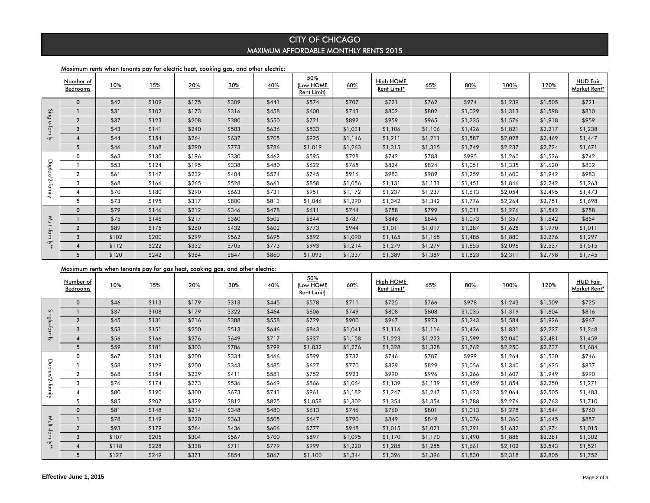### Maximum rents when tenants pay for electric heat, cooking gas, and other electric:

|              | Number of<br><b>Bedrooms</b> | <u>10%</u> | 15%   | 20%   | 30%   | 40%   | 50%<br>(Low HOME<br>Rent Limit) | 60%     | High HOME<br>Rent Limit* | 65%     | 80%     | 100%    | 120%    | <b>HUD Fair</b><br>Market Rent* |
|--------------|------------------------------|------------|-------|-------|-------|-------|---------------------------------|---------|--------------------------|---------|---------|---------|---------|---------------------------------|
|              | $\mathbf 0$                  | \$42       | \$109 | \$175 | \$309 | \$441 | \$574                           | \$707   | \$721                    | \$762   | \$974   | \$1,239 | \$1,505 | \$721                           |
|              |                              | \$31       | \$102 | \$173 | \$316 | \$458 | \$600                           | \$743   | \$802                    | \$802   | \$1,029 | \$1,313 | \$1,598 | \$810                           |
| Single       | $\overline{2}$               | \$37       | \$123 | \$208 | \$380 | \$550 | \$721                           | \$892   | \$959                    | \$965   | \$1,235 | \$1,576 | \$1,918 | \$959                           |
| family.      | 3                            | \$43       | \$141 | \$240 | \$503 | \$636 | \$833                           | \$1,031 | \$1,106                  | \$1,106 | \$1,426 | \$1,821 | \$2,217 | \$1,238                         |
|              | 4                            | \$44       | \$154 | \$264 | \$637 | \$705 | \$925                           | \$1,146 | \$1,211                  | \$1,211 | \$1,587 | \$2,028 | \$2,469 | \$1,447                         |
|              | 5                            | \$46       | \$168 | \$290 | \$773 | \$786 | \$1,019                         | \$1,263 | \$1,315                  | \$1,315 | \$1,749 | \$2,237 | \$2,724 | \$1,671                         |
|              | 0                            | \$63       | \$130 | \$196 | \$330 | \$462 | \$595                           | \$728   | \$742                    | \$783   | \$995   | \$1,260 | \$1,526 | \$742                           |
| Duplex/2     |                              | \$53       | \$124 | \$195 | \$338 | \$480 | \$622                           | \$765   | \$824                    | \$824   | \$1,051 | \$1,335 | \$1,620 | \$832                           |
|              | $\overline{2}$               | \$61       | \$147 | \$232 | \$404 | \$574 | \$745                           | \$916   | \$983                    | \$989   | \$1,259 | \$1,600 | \$1,942 | \$983                           |
|              | 3                            | \$68       | \$166 | \$265 | \$528 | \$661 | \$858                           | \$1,056 | \$1,131                  | \$1,131 | \$1,451 | \$1,846 | \$2,242 | \$1,263                         |
| -family      | 4                            | \$70       | \$180 | \$290 | \$663 | \$731 | \$951                           | \$1,172 | \$1,237                  | \$1,237 | \$1,613 | \$2,054 | \$2,495 | \$1,473                         |
|              | 5                            | \$73       | \$195 | \$317 | \$800 | \$813 | \$1,046                         | \$1,290 | \$1,342                  | \$1,342 | \$1,776 | \$2,264 | \$2,751 | \$1,698                         |
|              | $\mathbf 0$                  | \$79       | \$146 | \$212 | \$346 | \$478 | \$611                           | \$744   | \$758                    | \$799   | \$1,011 | \$1,276 | \$1,542 | \$758                           |
| <b>Multi</b> |                              | \$75       | \$146 | \$217 | \$360 | \$502 | \$644                           | \$787   | \$846                    | \$846   | \$1,073 | \$1,357 | \$1,642 | \$854                           |
|              | $\overline{2}$               | \$89       | \$175 | \$260 | \$432 | \$602 | \$773                           | \$944   | \$1,011                  | \$1,017 | \$1,287 | \$1,628 | \$1,970 | \$1,011                         |
| tami         | 3                            | \$102      | \$200 | \$299 | \$562 | \$695 | \$892                           | \$1,090 | \$1,165                  | \$1,165 | \$1,485 | \$1,880 | \$2,276 | \$1,297                         |
| ₹            | 4                            | \$112      | \$222 | \$332 | \$705 | \$773 | \$993                           | \$1,214 | \$1,279                  | \$1,279 | \$1,655 | \$2,096 | \$2,537 | \$1,515                         |
|              | 5                            | \$120      | \$242 | \$364 | \$847 | \$860 | \$1,093                         | \$1,337 | \$1,389                  | \$1,389 | \$1,823 | \$2,311 | \$2,798 | \$1,745                         |

## Maximum rents when tenants pay for gas heat, cooking gas, and other electric:

|                 |                         | \$31  | \$102                                                                         | \$173 | \$316 | \$458 | \$600                           | \$743   | \$802                           | \$802   | \$1,029 | \$1,313 | \$1,598 | \$810                           |
|-----------------|-------------------------|-------|-------------------------------------------------------------------------------|-------|-------|-------|---------------------------------|---------|---------------------------------|---------|---------|---------|---------|---------------------------------|
|                 | $\overline{2}$          | \$37  | \$123                                                                         | \$208 | \$380 | \$550 | \$721                           | \$892   | \$959                           | \$965   | \$1,235 | \$1,576 | \$1,918 | \$959                           |
| Single-family   | $\mathbf{3}$            | \$43  | \$141                                                                         | \$240 | \$503 | \$636 | \$833                           | \$1,031 | \$1,106                         | \$1,106 | \$1,426 | \$1,821 | \$2,217 | \$1,238                         |
|                 | $\overline{\mathbf{4}}$ | \$44  | \$154                                                                         | \$264 | \$637 | \$705 | \$925                           | \$1,146 | \$1,211                         | \$1,211 | \$1,587 | \$2,028 | \$2,469 | \$1,447                         |
|                 | $5\overline{5}$         | \$46  | \$168                                                                         | \$290 | \$773 | \$786 | \$1,019                         | \$1,263 | \$1,315                         | \$1,315 | \$1,749 | \$2,237 | \$2,724 | \$1,671                         |
|                 | $\mathbf 0$             | \$63  | \$130                                                                         | \$196 | \$330 | \$462 | \$595                           | \$728   | \$742                           | \$783   | \$995   | \$1,260 | \$1,526 | \$742                           |
|                 | $\mathbf{1}$            | \$53  | \$124                                                                         | \$195 | \$338 | \$480 | \$622                           | \$765   | \$824                           | \$824   | \$1,051 | \$1,335 | \$1,620 | \$832                           |
|                 | $\overline{2}$          | \$61  | \$147                                                                         | \$232 | \$404 | \$574 | \$745                           | \$916   | \$983                           | \$989   | \$1,259 | \$1,600 | \$1,942 | \$983                           |
|                 | 3                       | \$68  | \$166                                                                         | \$265 | \$528 | \$661 | \$858                           | \$1,056 | \$1,131                         | \$1,131 | \$1,451 | \$1,846 | \$2,242 | \$1,263                         |
| Duplex/2-family | $\overline{4}$          | \$70  | \$180                                                                         | \$290 | \$663 | \$731 | \$951                           | \$1,172 | \$1,237                         | \$1,237 | \$1,613 | \$2,054 | \$2,495 | \$1,473                         |
|                 | 5                       | \$73  | \$195                                                                         | \$317 | \$800 | \$813 | \$1,046                         | \$1,290 | \$1,342                         | \$1,342 | \$1,776 | \$2,264 | \$2,751 | \$1,698                         |
|                 | $\mathbf 0$             | \$79  | \$146                                                                         | \$212 | \$346 | \$478 | \$611                           | \$744   | \$758                           | \$799   | \$1,011 | \$1,276 | \$1,542 | \$758                           |
|                 | $\overline{1}$          | \$75  | \$146                                                                         | \$217 | \$360 | \$502 | \$644                           | \$787   | \$846                           | \$846   | \$1,073 | \$1,357 | \$1,642 | \$854                           |
|                 | $\overline{2}$          | \$89  | \$175                                                                         | \$260 | \$432 | \$602 | \$773                           | \$944   | \$1,011                         | \$1,017 | \$1,287 | \$1,628 | \$1,970 | \$1,011                         |
| Multi-family**  | 3                       | \$102 | \$200                                                                         | \$299 | \$562 | \$695 | \$892                           | \$1,090 | \$1,165                         | \$1,165 | \$1,485 | \$1,880 | \$2,276 | \$1,297                         |
|                 | $\overline{\mathbf{4}}$ | \$112 | \$222                                                                         | \$332 | \$705 | \$773 | \$993                           | \$1,214 | \$1,279                         | \$1,279 | \$1,655 | \$2,096 | \$2,537 | \$1,515                         |
|                 | $5\phantom{1}$          | \$120 | \$242                                                                         | \$364 | \$847 | \$860 | \$1,093                         | \$1,337 | \$1,389                         | \$1,389 | \$1,823 | \$2,311 | \$2,798 | \$1,745                         |
|                 |                         |       | Maximum rents when tenants pay for gas heat, cooking gas, and other electric: |       |       |       |                                 |         |                                 |         |         |         |         |                                 |
|                 |                         |       |                                                                               |       |       |       |                                 |         |                                 |         |         |         |         |                                 |
|                 |                         |       |                                                                               |       |       |       |                                 |         |                                 |         |         |         |         |                                 |
|                 | Number of<br>Bedrooms   | 10%   | 15%                                                                           | 20%   | 30%   | 40%   | 50%<br>(Low HOME<br>Rent Limit) | 60%     | <b>High HOME</b><br>Rent Limit* | 65%     | 80%     | 100%    | 120%    | <b>HUD Fair</b><br>Market Rent* |
|                 | $\mathbf 0$             | \$46  | \$113                                                                         | \$179 | \$313 | \$445 | \$578                           | \$711   | \$725                           | \$766   | \$978   | \$1,243 | \$1,509 | \$725                           |
|                 | -1                      | \$37  | \$108                                                                         | \$179 | \$322 | \$464 | \$606                           | \$749   | \$808                           | \$808   | \$1,035 | \$1,319 | \$1,604 | \$816                           |
|                 | $\overline{2}$          | \$45  | \$131                                                                         | \$216 | \$388 | \$558 | \$729                           | \$900   | \$967                           | \$973   | \$1,243 | \$1,584 | \$1,926 | \$967                           |
|                 | $\mathbf{3}$            | \$53  | \$151                                                                         | \$250 | \$513 | \$646 | \$843                           | \$1,041 | \$1,116                         | \$1,116 | \$1,436 | \$1,831 | \$2,227 | \$1,248                         |
| Single-family   | $\overline{4}$          | \$56  | \$166                                                                         | \$276 | \$649 | \$717 | \$937                           | \$1,158 | \$1,223                         | \$1,223 | \$1,599 | \$2,040 | \$2,481 | \$1,459                         |
|                 | $\sqrt{5}$              | \$59  | \$181                                                                         | \$303 | \$786 | \$799 | \$1,032                         | \$1,276 | \$1,328                         | \$1,328 | \$1,762 | \$2,250 | \$2,737 | \$1,684                         |
|                 | $\mathbf 0$             | \$67  | \$134                                                                         | \$200 | \$334 | \$466 | \$599                           | \$732   | \$746                           | \$787   | \$999   | \$1,264 | \$1,530 | \$746                           |
|                 | $\overline{1}$          | \$58  | \$129                                                                         | \$200 | \$343 | \$485 | \$627                           | \$770   | \$829                           | \$829   | \$1,056 | \$1,340 | \$1,625 | \$837                           |
|                 | $\overline{2}$          | \$68  | \$154                                                                         | \$239 | \$411 | \$581 | \$752                           | \$923   | \$990                           | \$996   | \$1,266 | \$1,607 | \$1,949 | \$990                           |
|                 | 3                       | \$76  | \$174                                                                         | \$273 | \$536 | \$669 | \$866                           | \$1,064 | \$1,139                         | \$1,139 | \$1,459 | \$1,854 | \$2,250 | \$1,271                         |
|                 | $\overline{\mathbf{4}}$ | \$80  | \$190                                                                         | \$300 | \$673 | \$741 | \$961                           | \$1,182 | \$1,247                         | \$1,247 | \$1,623 | \$2,064 | \$2,505 | \$1,483                         |
| Duplex/2-family | 5                       | \$85  | \$207                                                                         | \$329 | \$812 | \$825 | \$1,058                         | \$1,302 | \$1,354                         | \$1,354 | \$1,788 | \$2,276 | \$2,763 | \$1,710                         |
|                 | $\mathbf 0$             | \$81  | \$148                                                                         | \$214 | \$348 | \$480 | \$613                           | \$746   | \$760                           | \$801   | \$1,013 | \$1,278 | \$1,544 | \$760                           |
|                 | $\mathbf{1}$            | \$78  | \$149                                                                         | \$220 | \$363 | \$505 | \$647                           | \$790   | \$849                           | \$849   | \$1,076 | \$1,360 | \$1,645 | \$857                           |
|                 | $\overline{2}$          | \$93  | \$179                                                                         | \$264 | \$436 | \$606 | \$777                           | \$948   | \$1,015                         | \$1,021 | \$1,291 | \$1,632 | \$1,974 | \$1,015                         |
|                 | 3                       | \$107 | \$205                                                                         | \$304 | \$567 | \$700 | \$897                           | \$1,095 | \$1,170                         | \$1,170 | \$1,490 | \$1,885 | \$2,281 | \$1,302                         |
| Multi-family**  | $\overline{\mathbf{4}}$ | \$118 | \$228                                                                         | \$338 | \$711 | \$779 | \$999                           | \$1,220 | \$1,285                         | \$1,285 | \$1,661 | \$2,102 | \$2,543 | \$1,521                         |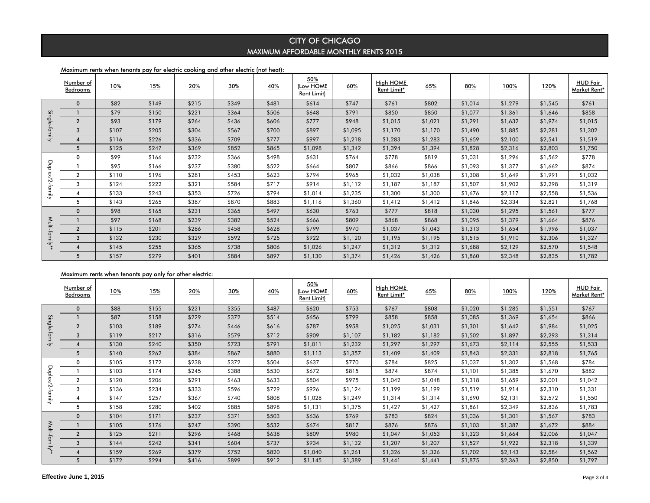### Maximum rents when tenants pay for electric cooking and other electric (not heat):

|          | Number of<br>Bedrooms | 10%   | 15%   | 20%   | 30%   | <u>40%</u> | 50%<br>(Low HOME<br><b>Rent Limit)</b> | 60%     | High HOME<br>Rent Limit* | 65%     | 80%     | 100%    | 120%    | <b>HUD Fair</b><br>Market Rent* |
|----------|-----------------------|-------|-------|-------|-------|------------|----------------------------------------|---------|--------------------------|---------|---------|---------|---------|---------------------------------|
|          | $\mathbf 0$           | \$82  | \$149 | \$215 | \$349 | \$481      | \$614                                  | \$747   | \$761                    | \$802   | \$1,014 | \$1,279 | \$1,545 | \$761                           |
| <u>ي</u> |                       | \$79  | \$150 | \$221 | \$364 | \$506      | \$648                                  | \$791   | \$850                    | \$850   | \$1,077 | \$1,361 | \$1,646 | \$858                           |
| ngle     | $\overline{2}$        | \$93  | \$179 | \$264 | \$436 | \$606      | \$777                                  | \$948   | \$1,015                  | \$1,021 | \$1,291 | \$1,632 | \$1,974 | \$1,015                         |
| family   | 3                     | \$107 | \$205 | \$304 | \$567 | \$700      | \$897                                  | \$1,095 | \$1,170                  | \$1,170 | \$1,490 | \$1,885 | \$2,281 | \$1,302                         |
|          | 4                     | \$116 | \$226 | \$336 | \$709 | \$777      | \$997                                  | \$1,218 | \$1,283                  | \$1,283 | \$1,659 | \$2,100 | \$2,541 | \$1,519                         |
|          | 5                     | \$125 | \$247 | \$369 | \$852 | \$865      | \$1,098                                | \$1,342 | \$1,394                  | \$1,394 | \$1,828 | \$2,316 | \$2,803 | \$1,750                         |
|          | 0                     | \$99  | \$166 | \$232 | \$366 | \$498      | \$631                                  | \$764   | \$778                    | \$819   | \$1,031 | \$1,296 | \$1,562 | \$778                           |
| Duplex/  |                       | \$95  | \$166 | \$237 | \$380 | \$522      | \$664                                  | \$807   | \$866                    | \$866   | \$1,093 | \$1,377 | \$1,662 | \$874                           |
|          | $\overline{2}$        | \$110 | \$196 | \$281 | \$453 | \$623      | \$794                                  | \$965   | \$1,032                  | \$1,038 | \$1,308 | \$1,649 | \$1,991 | \$1,032                         |
| Ñ        | 3                     | \$124 | \$222 | \$321 | \$584 | \$717      | \$914                                  | \$1,112 | \$1,187                  | \$1,187 | \$1,507 | \$1,902 | \$2,298 | \$1,319                         |
| -tamily  | 4                     | \$133 | \$243 | \$353 | \$726 | \$794      | \$1,014                                | \$1,235 | \$1,300                  | \$1,300 | \$1,676 | \$2,117 | \$2,558 | \$1,536                         |
|          | 5                     | \$143 | \$265 | \$387 | \$870 | \$883      | \$1,116                                | \$1,360 | \$1,412                  | \$1,412 | \$1,846 | \$2,334 | \$2,821 | \$1,768                         |
|          | $\mathbf 0$           | \$98  | \$165 | \$231 | \$365 | \$497      | \$630                                  | \$763   | \$777                    | \$818   | \$1,030 | \$1,295 | \$1,561 | \$777                           |
| Multi-   |                       | \$97  | \$168 | \$239 | \$382 | \$524      | \$666                                  | \$809   | \$868                    | \$868   | \$1,095 | \$1,379 | \$1,664 | \$876                           |
|          | $\overline{2}$        | \$115 | \$201 | \$286 | \$458 | \$628      | \$799                                  | \$970   | \$1,037                  | \$1,043 | \$1,313 | \$1,654 | \$1,996 | \$1,037                         |
| family*  | 3                     | \$132 | \$230 | \$329 | \$592 | \$725      | \$922                                  | \$1,120 | \$1,195                  | \$1,195 | \$1,515 | \$1,910 | \$2,306 | \$1,327                         |
|          | $\boldsymbol{A}$      | \$145 | \$255 | \$365 | \$738 | \$806      | \$1,026                                | \$1,247 | \$1,312                  | \$1,312 | \$1,688 | \$2,129 | \$2,570 | \$1,548                         |
|          | 5                     | \$157 | \$279 | \$401 | \$884 | \$897      | \$1,130                                | \$1,374 | \$1,426                  | \$1,426 | \$1,860 | \$2,348 | \$2,835 | \$1,782                         |

### Maximum rents when tenants pay only for other electric:

|                 |                                       | \$79           | \$150                                                   | \$221          | \$364          | \$506          | \$648                           | \$791              | \$850                           | \$850              | \$1,077            | \$1,361            | \$1,646            | \$858                           |
|-----------------|---------------------------------------|----------------|---------------------------------------------------------|----------------|----------------|----------------|---------------------------------|--------------------|---------------------------------|--------------------|--------------------|--------------------|--------------------|---------------------------------|
|                 | $\overline{2}$                        | \$93           | \$179                                                   | \$264          | \$436          | \$606          | \$777                           | \$948              | \$1,015                         | \$1,021            | \$1,291            | \$1,632            | \$1,974            | \$1,015                         |
| Single-family   | 3                                     | \$107          | \$205                                                   | \$304          | \$567          | \$700          | \$897                           | \$1,095            | \$1,170                         | \$1,170            | \$1,490            | \$1,885            | \$2,281            | \$1,302                         |
|                 | $\overline{\mathbf{4}}$               | \$116          | \$226                                                   | \$336          | \$709          | \$777          | \$997                           | \$1,218            | \$1,283                         | \$1,283            | \$1,659            | \$2,100            | \$2,541            | \$1,519                         |
|                 | $\sqrt{5}$                            | \$125          | \$247                                                   | \$369          | \$852          | \$865          | \$1,098                         | \$1,342            | \$1,394                         | \$1,394            | \$1,828            | \$2,316            | \$2,803            | \$1,750                         |
|                 | 0                                     | \$99           | \$166                                                   | \$232          | \$366          | \$498          | \$631                           | \$764              | \$778                           | \$819              | \$1,031            | \$1,296            | \$1,562            | \$778                           |
| Duplex/2-family | $\mathbf{1}$                          | \$95           | \$166                                                   | \$237          | \$380          | \$522          | \$664                           | \$807              | \$866                           | \$866              | \$1,093            | \$1,377            | \$1,662            | \$874                           |
|                 | $\overline{2}$                        | \$110          | \$196                                                   | \$281          | \$453          | \$623          | \$794                           | \$965              | \$1,032                         | \$1,038            | \$1,308            | \$1,649            | \$1,991            | \$1,032                         |
|                 | 3                                     | \$124          | \$222                                                   | \$321          | \$584          | \$717          | \$914                           | \$1,112            | \$1,187                         | \$1,187            | \$1,507            | \$1,902            | \$2,298            | \$1,319                         |
|                 | $\overline{\mathbf{4}}$               | \$133          | \$243                                                   | \$353          | \$726          | \$794          | \$1,014                         | \$1,235            | \$1,300                         | \$1,300            | \$1,676            | \$2,117            | \$2,558            | \$1,536                         |
|                 | 5                                     | \$143          | \$265                                                   | \$387          | \$870          | \$883          | \$1,116                         | \$1,360            | \$1,412                         | \$1,412            | \$1,846            | \$2,334            | \$2,821            | \$1,768                         |
|                 | $\mathbf 0$                           | \$98           | \$165                                                   | \$231          | \$365          | \$497          | \$630                           | \$763              | \$777                           | \$818              | \$1,030            | \$1,295            | \$1,561            | \$777                           |
|                 | $\mathbf{1}$                          | \$97           | \$168                                                   | \$239          | \$382          | \$524          | \$666                           | \$809              | \$868                           | \$868              | \$1,095            | \$1,379            | \$1,664            | \$876                           |
|                 | $\overline{2}$                        | \$115          | \$201                                                   | \$286          | \$458          | \$628          | \$799                           | \$970              | \$1,037                         | \$1,043            | \$1,313            | \$1,654            | \$1,996            | \$1,037                         |
| Multi-family**  | $\mathbf{3}$                          | \$132          | \$230                                                   | \$329          | \$592          | \$725          | \$922                           | \$1,120            | \$1,195                         | \$1,195            | \$1,515            | \$1,910            | \$2,306            | \$1,327                         |
|                 | $\overline{\mathbf{4}}$               | \$145          | \$255                                                   | \$365          | \$738          | \$806          | \$1,026                         | \$1,247            | \$1,312                         | \$1,312            | \$1,688            | \$2,129            | \$2,570            | \$1,548                         |
|                 | 5                                     | \$157          | \$279                                                   | \$401          | \$884          | \$897          | \$1,130                         | \$1,374            | \$1,426                         | \$1,426            | \$1,860            | \$2,348            | \$2,835            | \$1,782                         |
|                 |                                       |                | Maximum rents when tenants pay only for other electric: |                |                |                |                                 |                    |                                 |                    |                    |                    |                    |                                 |
|                 |                                       |                |                                                         |                |                |                |                                 |                    |                                 |                    |                    |                    |                    |                                 |
|                 | Number of<br>Bedrooms                 | 10%            | 15%                                                     | 20%            | 30%            | 40%            | 50%<br>(Low HOME<br>Rent Limit) | 60%                | <b>High HOME</b><br>Rent Limit* | 65%                | 80%                | 100%               | 120%               | <b>HUD Fair</b><br>Market Rent* |
|                 | $\mathbf 0$                           | \$88           | \$155                                                   | \$221          | \$355          | \$487          | \$620                           | \$753              | \$767                           | \$808              | \$1,020            | \$1,285            | \$1,551            | \$767                           |
|                 | $\mathbf{1}$                          | \$87           | \$158                                                   | \$229          | \$372          | \$514          | \$656                           | \$799              | \$858                           | \$858              | \$1,085            | \$1,369            | \$1,654            | \$866                           |
|                 | $\overline{2}$                        | \$103          | \$189                                                   | \$274          | \$446          | \$616          | \$787                           | \$958              | \$1,025                         | \$1,031            | \$1,301            | \$1,642            | \$1,984            | \$1,025                         |
|                 | 3                                     | \$119          | \$217                                                   | \$316          | \$579          | \$712          | \$909                           | \$1,107            | \$1,182                         | \$1,182            | \$1,502            | \$1,897            | \$2,293            | \$1,314                         |
| Single-family   | $\overline{4}$                        | \$130          | \$240                                                   | \$350          | \$723          | \$791          | \$1,011                         | \$1,232            | \$1,297                         | \$1,297            | \$1,673            | \$2,114            | \$2,555            | \$1,533                         |
|                 | $\sqrt{5}$                            | \$140          | \$262                                                   | \$384          | \$867          | \$880          | \$1,113                         | \$1,357            | \$1,409                         | \$1,409            | \$1,843            | \$2,331            | \$2,818            | \$1,765                         |
|                 | $\mathsf 0$                           | \$105          | \$172                                                   | \$238          | \$372          | \$504          | \$637                           | \$770              | \$784                           | \$825              | \$1,037            | \$1,302            | \$1,568            | \$784                           |
|                 | $\mathbf{1}$                          | \$103          | \$174                                                   | \$245          | \$388          | \$530          | \$672                           | \$815              | \$874                           | \$874              | \$1,101            | \$1,385            | \$1,670            | \$882                           |
|                 | $\overline{2}$                        | \$120          | \$206                                                   | \$291          | \$463          | \$633          | \$804                           | \$975              | \$1,042                         | \$1,048            | \$1,318            | \$1,659            | \$2,001            | \$1,042                         |
|                 | 3                                     | \$136          | \$234                                                   | \$333          | \$596          | \$729          | \$926                           | \$1,124            | \$1,199                         | \$1,199            | \$1,519            | \$1,914            | \$2,310            | \$1,331                         |
| Duplex/2-family | $\overline{\mathbf{4}}$               | \$147          | \$257                                                   | \$367          | \$740          | \$808          | \$1,028                         | \$1,249            | \$1,314                         | \$1,314            | \$1,690            | \$2,131            | \$2,572            | \$1,550                         |
|                 | 5                                     | \$158          | \$280                                                   | \$402          | \$885          | \$898          | \$1,131                         | \$1,375            | \$1,427                         | \$1,427            | \$1,861            | \$2,349            | \$2,836            | \$1,783                         |
|                 | $\mathbf 0$                           | \$104          | \$171                                                   | \$237          | \$371          | \$503          | \$636                           | \$769              | \$783                           | \$824              | \$1,036            | \$1,301            | \$1,567            | \$783                           |
|                 | $\mathbf{1}$                          | \$105          | \$176                                                   | \$247          | \$390          | \$532          | \$674                           | \$817              | \$876                           | \$876              | \$1,103            | \$1,387            | \$1,672            | \$884                           |
|                 | $\overline{2}$                        | \$125          | \$211                                                   | \$296          | \$468          | \$638          | \$809                           | \$980              | \$1,047                         | \$1,053            | \$1,323            | \$1,664            | \$2,006            | \$1,047                         |
|                 | 3                                     | \$144          | \$242                                                   | \$341          | \$604          | \$737          | \$934                           | \$1,132            | \$1,207                         | \$1,207            | \$1,527            | \$1,922            | \$2,318            | \$1,339                         |
| Multi-family*   | $\overline{\mathbf{4}}$<br>$\sqrt{5}$ | \$159<br>\$172 | \$269<br>\$294                                          | \$379<br>\$416 | \$752<br>\$899 | \$820<br>\$912 | \$1,040<br>\$1,145              | \$1,261<br>\$1,389 | \$1,326<br>\$1,441              | \$1,326<br>\$1,441 | \$1,702<br>\$1,875 | \$2,143<br>\$2,363 | \$2,584<br>\$2,850 | \$1,562<br>\$1,797              |